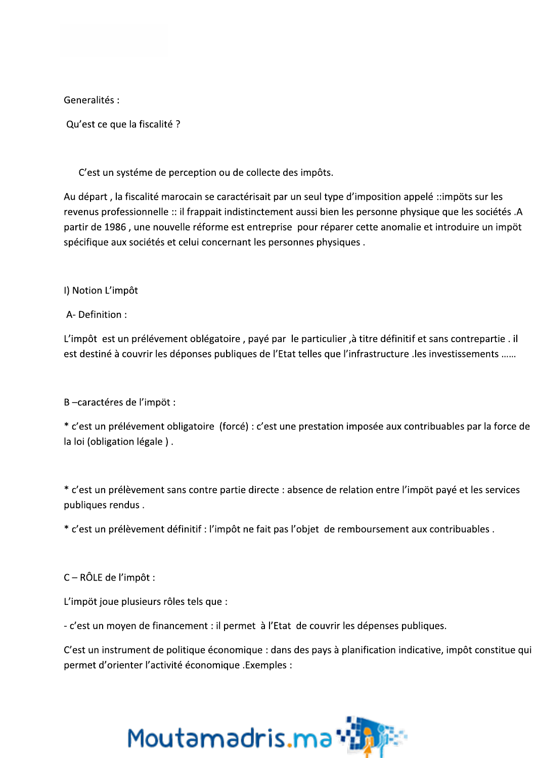Generalités :

Qu'est ce que la fiscalité ?

C'est un systéme de perception ou de collecte des impôts.

Au départ, la fiscalité marocain se caractérisait par un seul type d'imposition appelé ::impöts sur les revenus professionnelle :: il frappait indistinctement aussi bien les personne physique que les sociétés .A partir de 1986, une nouvelle réforme est entreprise pour réparer cette anomalie et introduire un impöt spécifique aux sociétés et celui concernant les personnes physiques.

I) Notion L'impôt

A-Definition:

L'impôt est un prélévement oblégatoire, payé par le particulier, à titre définitif et sans contrepartie. il est destiné à couvrir les déponses publiques de l'Etat telles que l'infrastructure . les investissements .....

B-caractéres de l'impöt :

\* c'est un prélévement obligatoire (forcé) : c'est une prestation imposée aux contribuables par la force de la loi (obligation légale).

\* c'est un prélèvement sans contre partie directe : absence de relation entre l'impöt payé et les services publiques rendus.

\* c'est un prélèvement définitif : l'impôt ne fait pas l'objet de remboursement aux contribuables.

 $C - RÔLE$  de l'impôt :

L'impöt joue plusieurs rôles tels que :

- c'est un moyen de financement : il permet à l'Etat de couvrir les dépenses publiques.

C'est un instrument de politique économique : dans des pays à planification indicative, impôt constitue qui permet d'orienter l'activité économique .Exemples :

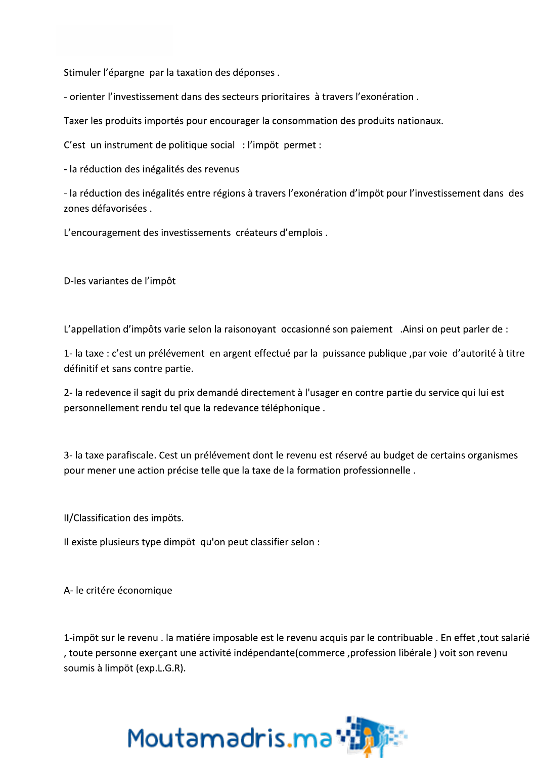Stimuler l'épargne par la taxation des déponses.

- orienter l'investissement dans des secteurs prioritaires à travers l'exonération.

Taxer les produits importés pour encourager la consommation des produits nationaux.

C'est un instrument de politique social : l'impöt permet :

- la réduction des inégalités des revenus

- la réduction des inégalités entre régions à travers l'exonération d'impöt pour l'investissement dans des zones défavorisées.

L'encouragement des investissements créateurs d'emplois.

D-les variantes de l'impôt

L'appellation d'impôts varie selon la raisonoyant occasionné son paiement. Ainsi on peut parler de :

1- la taxe : c'est un prélévement en argent effectué par la puissance publique, par voie d'autorité à titre définitif et sans contre partie.

2- la redevence il sagit du prix demandé directement à l'usager en contre partie du service qui lui est personnellement rendu tel que la redevance téléphonique.

3- la taxe parafiscale. Cest un prélévement dont le revenu est réservé au budget de certains organismes pour mener une action précise telle que la taxe de la formation professionnelle.

II/Classification des impöts.

Il existe plusieurs type dimpöt qu'on peut classifier selon :

A-le critére économique

1-impöt sur le revenu. la matiére imposable est le revenu acquis par le contribuable. En effet, tout salarié , toute personne exerçant une activité indépendante(commerce, profession libérale) voit son revenu soumis à limpöt (exp.L.G.R).

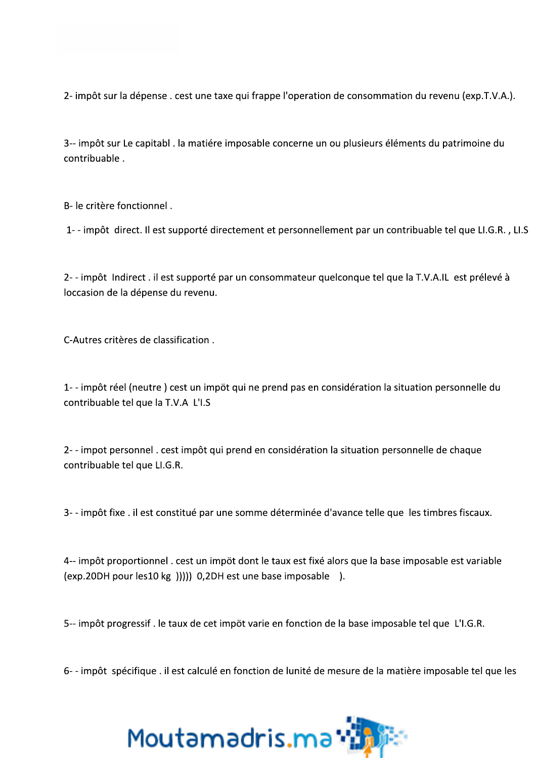2- impôt sur la dépense . cest une taxe qui frappe l'operation de consommation du revenu (exp.T.V.A.).

3-- impôt sur Le capitabl . la matiére imposable concerne un ou plusieurs éléments du patrimoine du contribuable.

B- le critère fonctionnel.

1--impôt direct. Il est supporté directement et personnellement par un contribuable tel que LI.G.R., LI.S

2--impôt Indirect . il est supporté par un consommateur quelconque tel que la T.V.A.IL est prélevé à loccasion de la dépense du revenu.

C-Autres critères de classification.

1--impôt réel (neutre) cest un impöt qui ne prend pas en considération la situation personnelle du contribuable tel que la T.V.A L'I.S

2--impot personnel. cest impôt qui prend en considération la situation personnelle de chaque contribuable tel que LI.G.R.

3--impôt fixe . il est constitué par une somme déterminée d'avance telle que les timbres fiscaux.

4-- impôt proportionnel . cest un impöt dont le taux est fixé alors que la base imposable est variable (exp.20DH pour les10 kg ))))) 0,2DH est une base imposable ).

5-- impôt progressif. le taux de cet impöt varie en fonction de la base imposable tel que L'I.G.R.

6--impôt spécifique . il est calculé en fonction de lunité de mesure de la matière imposable tel que les

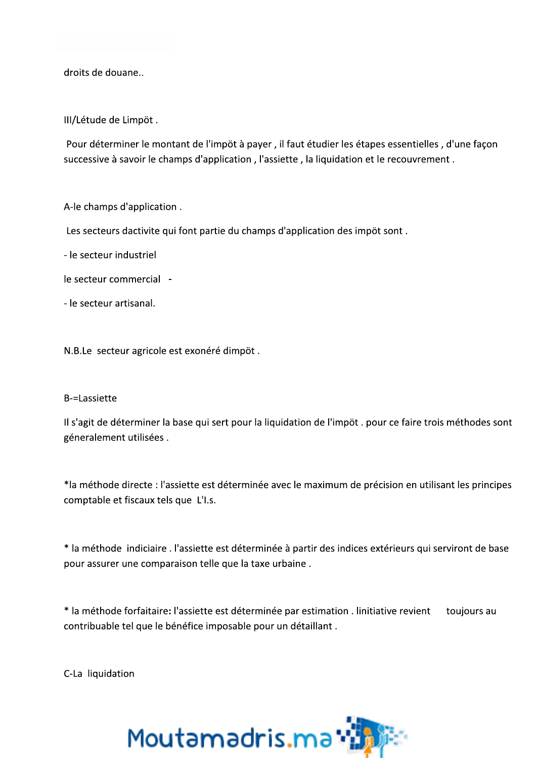droits de douane..

III/Létude de Limpöt.

Pour déterminer le montant de l'impöt à payer, il faut étudier les étapes essentielles, d'une façon successive à savoir le champs d'application, l'assiette, la liquidation et le recouvrement.

A-le champs d'application.

Les secteurs dactivite qui font partie du champs d'application des impöt sont.

- le secteur industriel

le secteur commercial -

- le secteur artisanal.

N.B.Le secteur agricole est exonéré dimpöt.

## **B-=Lassiette**

Il s'agit de déterminer la base qui sert pour la liquidation de l'impöt. pour ce faire trois méthodes sont géneralement utilisées.

\*la méthode directe : l'assiette est déterminée avec le maximum de précision en utilisant les principes comptable et fiscaux tels que L'I.s.

\* la méthode indiciaire . l'assiette est déterminée à partir des indices extérieurs qui serviront de base pour assurer une comparaison telle que la taxe urbaine.

\* la méthode forfaitaire: l'assiette est déterminée par estimation . linitiative revient toujours au contribuable tel que le bénéfice imposable pour un détaillant.

C-La liquidation